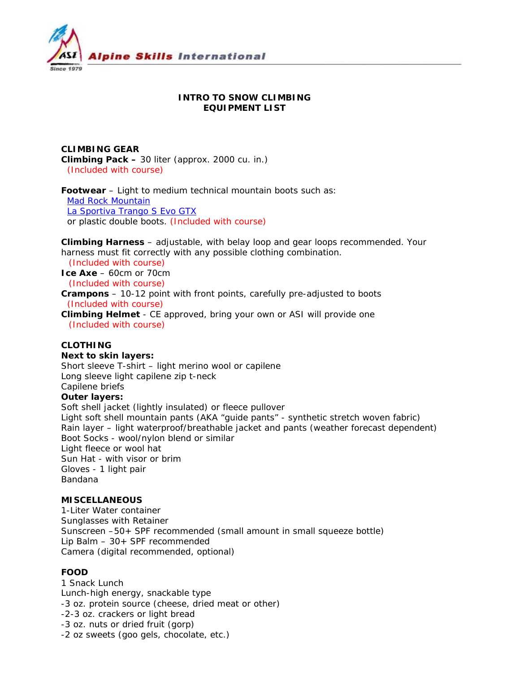

## **INTRO TO SNOW CLIMBING EQUIPMENT LIST**

**CLIMBING GEAR Climbing Pack –** 30 liter (approx. 2000 cu. in.)  *(Included with course)* 

**Footwear** – Light to medium technical mountain boots such as: Mad Rock Mountain La Sportiva Trango S Evo GTX or plastic double boots. *(Included with course)*

**Climbing Harness** – adjustable, with belay loop and gear loops recommended. Your harness must fit correctly with any possible clothing combination.

*(Included with course)* **Ice Axe** – 60cm or 70cm *(Included with course)*

**Crampons** – 10-12 point with front points, carefully pre-adjusted to boots  *(Included with course)* 

**Climbing Helmet** - CE approved, bring your own or ASI will provide one *(Included with course)*

# **CLOTHING**

**Next to skin layers:**

Short sleeve T-shirt – light merino wool or capilene Long sleeve light capilene zip t-neck Capilene briefs **Outer layers:**  Soft shell jacket (lightly insulated) or fleece pullover

Light soft shell mountain pants (AKA "guide pants" - synthetic stretch woven fabric) Rain layer – light waterproof/breathable jacket and pants (weather forecast dependent) Boot Socks - wool/nylon blend or similar Light fleece or wool hat Sun Hat - with visor or brim Gloves - 1 light pair Bandana

### **MISCELLANEOUS**

1-Liter Water container Sunglasses with Retainer Sunscreen –50+ SPF recommended (small amount in small squeeze bottle) Lip Balm – 30+ SPF recommended Camera (digital recommended, optional)

## **FOOD**

1 Snack Lunch Lunch-high energy, snackable type -3 oz. protein source (cheese, dried meat or other) -2-3 oz. crackers or light bread -3 oz. nuts or dried fruit (gorp) -2 oz sweets (goo gels, chocolate, etc.)